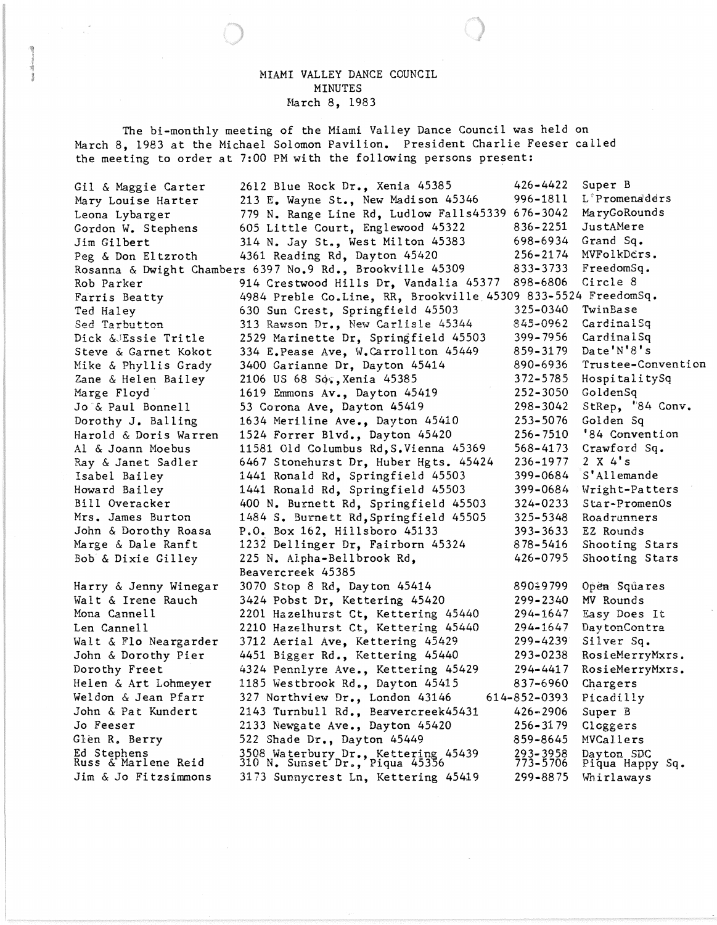## MIAMI VALLEY DANCE COUNCIL MINUTES March 8, 1983

1

The bi-monthly meeting of the Miami Valley Dance Council was held on March 8, 1983 at the Michael Solomon Pavilion. President Charlie Feeser called the meeting to order at 7:00 PM with the following persons present:

| Gil & Maggie Carter   | 2612 Blue Rock Dr., Xenia 45385                                       | $426 - 4422$ | Super B            |
|-----------------------|-----------------------------------------------------------------------|--------------|--------------------|
| Mary Louise Harter    | 213 E. Wayne St., New Madison 45346                                   | 996-1811     | L'Promenaddrs      |
| Leona Lybarger        | 779 N. Range Line Rd, Ludlow Falls45339 676-3042                      |              | MaryGoRounds       |
| Gordon W. Stephens    | 605 Little Court, Englewood 45322                                     | 836-2251     | JustAMere          |
| Jim Gilbert           | 314 N. Jay St., West Milton 45383                                     | 698–6934     | Grand Sq.          |
| Peg & Don Eltzroth    | 4361 Reading Rd, Dayton 45420                                         | 256-2174     | MVFolkDers.        |
|                       | Rosanna & Dwight Chambers 6397 No.9 Rd., Brookville 45309             | 833-3733     | FreedomSq.         |
| Rob Parker            | 914 Crestwood Hills Dr, Vandalia 45377                                | 898-6806     | Circle 8           |
| Farris Beatty         | 4984 Preble Co.Line, RR, Brookville 45309 833-5524 FreedomSq.         |              |                    |
| Ted Haley             | 630 Sun Crest, Springfield 45503                                      | 325-0340     | TwinBase           |
| Sed Tarbutton         | 313 Rawson Dr., New Carlisle 45344                                    | 845-0962     | CardinalSq         |
| Dick & Essie Tritle   | 2529 Marinette Dr, Springfield 45503                                  | 399-7956     | CardinalSq         |
| Steve & Garnet Kokot  | 334 E.Pease Ave, W.Carrollton 45449                                   | 859-3179     | Date'N'8's         |
| Mike & Phyllis Grady  | 3400 Garianne Dr, Dayton 45414                                        | 890-6936     | Trustee-Convention |
| Zane & Helen Bailey   | 2106 US 68 Sq., Xenia 45385                                           | 372-5785     | HospitalitySq      |
| Marge Floyd           | 1619 Emmons Av., Dayton 45419                                         | $252 - 3050$ | GoldenSq           |
| Jo & Paul Bonnell     | 53 Corona Ave, Dayton 45419                                           | 298-3042     | StRep, '84 Conv.   |
| Dorothy J. Balling    | 1634 Meriline Ave., Dayton 45410                                      | 253-5076     | Golden Sq          |
| Harold & Doris Warren | 1524 Forrer Blvd., Dayton 45420                                       | $256 - 7510$ | '84 Convention     |
| Al & Joann Moebus     | 11581 Old Columbus Rd, S.Vienna 45369                                 | 568-4173     | Crawford Sq.       |
| Ray & Janet Sadler    | 6467 Stonehurst Dr, Huber Hgts. 45424                                 | 236-1977     | 2 X 4's            |
| Isabel Bailey         | 1441 Ronald Rd, Springfield 45503                                     | 399-0684     | S'Allemande        |
| Howard Bailey         | 1441 Ronald Rd, Springfield 45503                                     | 399-0684     | Wright-Patters     |
| Bill Overacker        | 400 N. Burnett Rd, Springfield 45503                                  | 324-0233     | $Star-PromenOs$    |
| Mrs. James Burton     | 1484 S. Burnett Rd, Springfield 45505                                 | 325-5348     | Roadrunners        |
| John & Dorothy Roasa  | P.O. Box 162, Hillsboro 45133                                         | $393 - 3633$ | EZ Rounds          |
| Marge & Dale Ranft    | 1232 Dellinger Dr, Fairborn 45324                                     | 878-5416     | Shooting Stars     |
| Bob & Dixie Gilley    | 225 N. Alpha-Bellbrook Rd,                                            | 426-0795     | Shooting Stars     |
|                       | Beavercreek 45385                                                     |              |                    |
| Harry & Jenny Winegar | 3070 Stop 8 Rd, Dayton 45414                                          | 890%9799     | Open Squares       |
| Walt & Irene Rauch    | 3424 Pobst Dr, Kettering 45420                                        | 299-2340     | MV Rounds          |
| Mona Cannell          | 2201 Hazelhurst Ct, Kettering 45440                                   | 294-1647     | Easy Does It       |
| Len Cannell           | 2210 Hazelhurst Ct, Kettering 45440                                   | 294-1647     | DaytonContra       |
| Walt & Flo Neargarder | 3712 Aerial Ave, Kettering 45429                                      | 299-4239     | Silver Sq.         |
| John & Dorothy Pier   | 4451 Bigger Rd., Kettering 45440                                      | 293-0238     | RosieMerryMxrs.    |
| Dorothy Freet         | 4324 Pennlyre Ave., Kettering 45429                                   | 294-4417     | RosieMerryMxrs.    |
| Helen & Art Lohmeyer  | 1185 Westbrook Rd., Dayton 45415                                      | 837-6960     | Chargers           |
| Weldon & Jean Pfarr   | 327 Northview Dr., London 43146                                       | 614-852-0393 | Picadilly          |
| John & Pat Kundert    | 2143 Turnbull Rd., Beavercreek45431                                   | $426 - 2906$ | Super B            |
| Jo Feeser             | 2133 Newgate Ave., Dayton 45420                                       | 256-3179     | Cloggers           |
| Glen R. Berry         | 522 Shade Dr., Dayton 45449                                           | 859-8645     | MVCallers          |
| Ed Stephens           |                                                                       | 293-3958     | Dayton SDC         |
| Russ & Marlene Reid   | 3508 Waterbury Dr., Kettering 45439<br>310 N. Sunset Dr., Piqua 45356 | $773 - 5706$ | Piqua Happy Sq.    |
| Jim & Jo Fitzsimmons  | 3173 Sunnycrest Ln, Kettering 45419                                   | 299-8875     | Whirlaways         |
|                       |                                                                       |              |                    |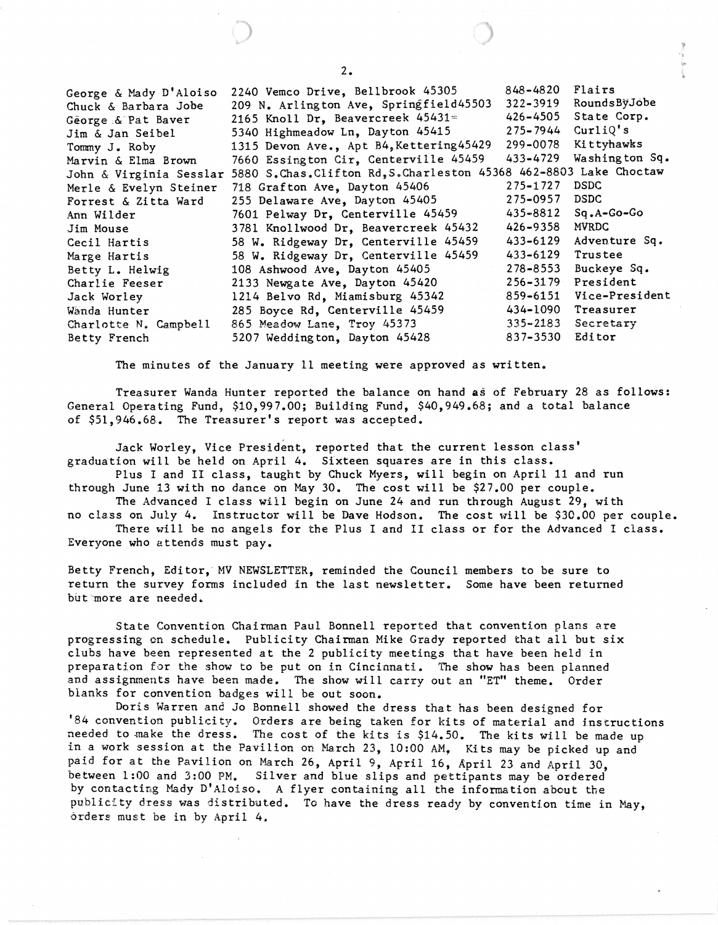George & Mady D'Aloiso Chuck & Barbara Jobe George,&'Pat Baver Jim & Jan Seibel Tommy J. Ro by Marvin & Elma Brown John & Virginia Sesslar 5880 S.Chas.Clifton Rd,S.Charleston 45368 462-8803 Lake Choctaw Merle & Evelyn Steiner Forrest & Zitta Ward Ann Wilder Jim Mouse Cecil Hartis Marge Hartis Betty L. Helwig Charlie Feeser Jack Worley Wanda Hunter Charlotte N. Campbell Betty French 2240 Vemco Drive, Bellbrook 45305 848-4820 Flairs<br>209 N. Arlington Ave, Springfield45503 322-3919 RoundsByJobe 209 N. Arlington Ave, Springfield45503 322-3919 RoundsBÿJob<br>2165 Knoll Dr. Beavercreek 45431= 426-4505 State Corp. 2165 Knoll Dr, Beavercreek  $45431 =$   $426-4505$  State Corporation 65415 and 426-4505 State Corporation 65415 and 4275-7944 Curliq's 5340 Highmeadow Ln, Dayton 45415 1315 Devon Ave., Apt B4, Kettering 45429 299-0078 Kittyhawks<br>7660 Essington Cir. Centerville 45459 433-4729 Washington Sq. 7660 Essington Cir, Centerville  $45459$   $433-4729$ 718 Grafton Ave, Dayton 45406 275-1727 DSDC 255 Delaware Ave, Dayton 45405 275-0957 DSDC<br>7601 Pelway Dr. Centerville 45459 435-8812 Sq.A-Go-Go 7601 Pelway Dr, Centerville 45459 3781 Knollwood Dr, Beavercreek 45432 426-9358 MVRDC 58 W. Ridgeway Dr, Centerville 45459 433-6129 Adventure Sq. 58 W. Ridgeway Dr, Centerville 45459 433-6129 Trustee 108 Ashwood Ave, Dayton 45405 278-8553 Buckeye Sq. 2133 Newgate Ave, Dayton 45420 256-3179 President<br>1214 Belvo Rd. Miamisburg 45342 259-6151 Vice-President 1214 Belvo Rd, Miamisburg 45342 285 Boyce Rd, Centerville 45459 434-1090 Treasurer<br>865 Meadow Lane, Troy 45373 435-2183 Secretary 865 Meadow Lane, Troy 45373 335-2183 Secretary 5207 Weddington, Dayton 45428 837-3530 Editor

The minutes of the January 11 meeting were approved as written.

Treasurer Wanda Hunter reported the balance on hand as of February 28 as follows: General Operating Fund, \$10,997.00; Building Fund, \$40,949.68; and a total balance of \$51,946.68. The Treasurer's report was accepted.

Jack Worley, Vice President, reported that the current lesson class' graduation will be held on April 4. Sixteen squares are in this class.

Plus I and II class, taught by Chuck Myers, will begin on April 11 and run through June 13 with no dance on May 30. The cost will be \$27.00 per couple.

The Advanced I class will begin on June 24 and run through August 29, with no class on July 4. Instructor will be Dave Hodson. The cost will be \$30.00 per couple. There will be no angels for the Plus I and II class or for the Advanced I class.

Everyone who attends must pay.

Betty French, Editor,' MV NEWSLETTER, reminded the Council members to be sure to return the survey forms included in the last newsletter. Some have been returned but more are needed.

State Convention Chairman Paul Bonnell reported that convention plans are progressing on schedule. Publicity Chairman Mike Grady reported that all but six clubs have been represented at the 2 publicity meetings that have been held in preparation for the show to be put on in Cincinnati. The show has been planned and assignments have been made. The show will carry out an "ET" theme. Order blanks for convention badges will be out soon.

Doris Warren and Jo Bonnell showed the dress that has been designed for '84 convention publicity. Orders are being taken for kits of material and instructions needed to make the dress. The cost of the kits is \$14.50. The kits will be made up in a work session at the Pavilion on March 23, 10:00 AM, Kits may be picked up and paid for at the Pavilion on March 26, April 9, April 16, April 23 and April 30, between 1:00 and 3:00 PM. Silver and blue slips and pettipants may be ordered by contacting Mady D'A10iso. A flyer containing all the information about the publicity dress was distributed. To have the dress ready by convention time in May, orders must be in by April 4.

2.